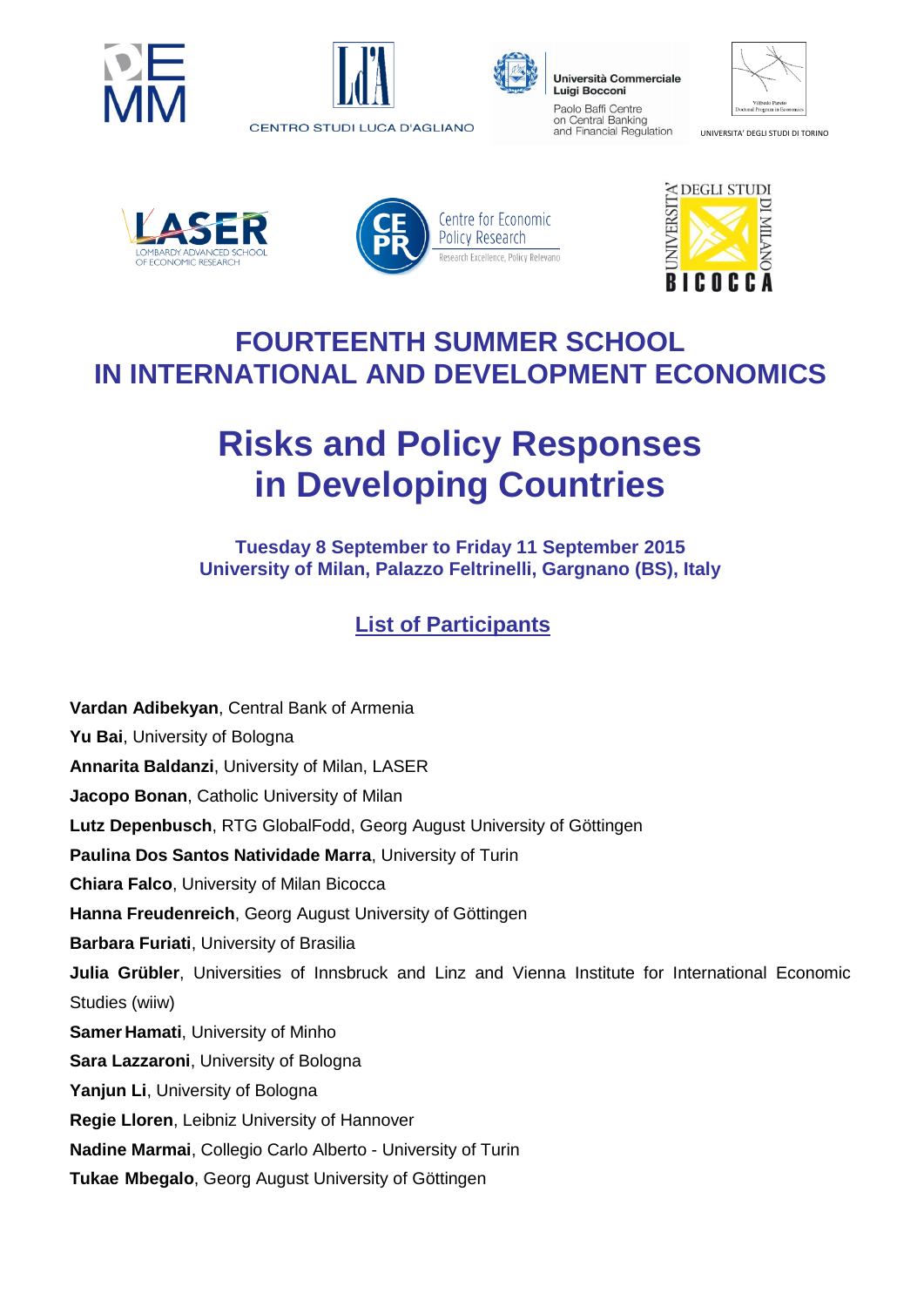





Università Commerciale **Luigi Bocconi** Paolo Baffi Centre on Central Banking and Financial Regulation

| Vilfredo Pareto<br>Doctoral Program in Economics |
|--------------------------------------------------|

UNIVERSITA' DEGLI STUDI DI TORINO







## **FOURTEENTH SUMMER SCHOOL IN INTERNATIONAL AND DEVELOPMENT ECONOMICS**

## **Risks and Policy Responses in Developing Countries**

**Tuesday 8 September to Friday 11 September 2015 University of Milan, Palazzo Feltrinelli, Gargnano (BS), Italy**

## **List of Participants**

**Vardan Adibekyan**, Central Bank of Armenia **Yu Bai**, University of Bologna **Annarita Baldanzi**, University of Milan, LASER **Jacopo Bonan**, Catholic University of Milan **Lutz Depenbusch**, RTG GlobalFodd, Georg August University of Göttingen **Paulina Dos Santos Natividade Marra**, University of Turin **Chiara Falco**, University of Milan Bicocca **Hanna Freudenreich**, Georg August University of Göttingen **Barbara Furiati**, University of Brasilia **Julia Grübler**, Universities of Innsbruck and Linz and Vienna Institute for International Economic Studies (wiiw) **Samer Hamati**, University of Minho **Sara Lazzaroni**, University of Bologna **Yanjun Li**, University of Bologna **Regie Lloren**, Leibniz University of Hannover **Nadine Marmai**, Collegio Carlo Alberto - University of Turin **Tukae Mbegalo**, Georg August University of Göttingen